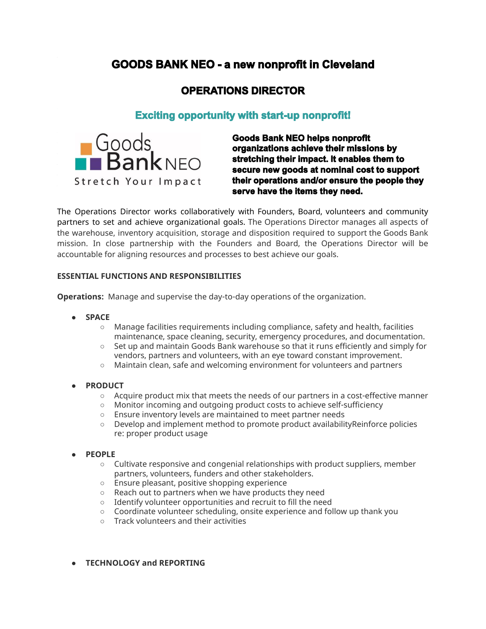# **GOODS BANK NEO - a new nonprofit in Cleveland**

## **OPERATIONS DIRECTOR**

### **Exciting opportunity with start-up nonprofit!**



**Goods Bank NEO helps nonprofit organizations achieve their missions by stretching their impact. It enables them to secure new goods at nominal cost to support their operations and/or ensure the people they serve have the items they need.**

The Operations Director works collaboratively with Founders, Board, volunteers and community partners to set and achieve organizational goals. The Operations Director manages all aspects of the warehouse, inventory acquisition, storage and disposition required to support the Goods Bank mission. In close partnership with the Founders and Board, the Operations Director will be accountable for aligning resources and processes to best achieve our goals.

#### **ESSENTIAL FUNCTIONS AND RESPONSIBILITIES**

**Operations:** Manage and supervise the day-to-day operations of the organization.

- **● SPACE**
	- Manage facilities requirements including compliance, safety and health, facilities maintenance, space cleaning, security, emergency procedures, and documentation.
	- Set up and maintain Goods Bank warehouse so that it runs efficiently and simply for vendors, partners and volunteers, with an eye toward constant improvement.
	- Maintain clean, safe and welcoming environment for volunteers and partners
- **● PRODUCT**
	- Acquire product mix that meets the needs of our partners in a cost-effective manner
	- Monitor incoming and outgoing product costs to achieve self-sufficiency
	- Ensure inventory levels are maintained to meet partner needs
	- Develop and implement method to promote product availabilityReinforce policies re: proper product usage
- **● PEOPLE**
	- Cultivate responsive and congenial relationships with product suppliers, member partners, volunteers, funders and other stakeholders.
	- Ensure pleasant, positive shopping experience
	- Reach out to partners when we have products they need
	- Identify volunteer opportunities and recruit to fill the need
	- Coordinate volunteer scheduling, onsite experience and follow up thank you
	- Track volunteers and their activities
- **● TECHNOLOGY and REPORTING**